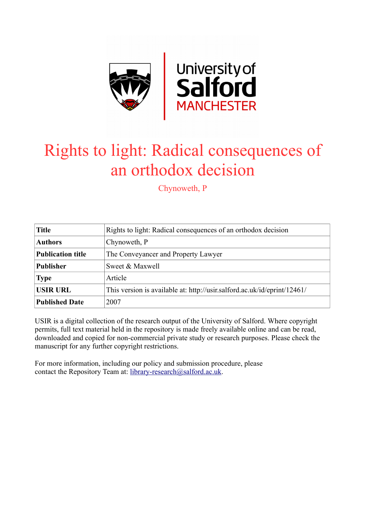

# Rights to light: Radical consequences of an orthodox decision

Chynoweth, P

| <b>Title</b>             | Rights to light: Radical consequences of an orthodox decision            |
|--------------------------|--------------------------------------------------------------------------|
| <b>Authors</b>           | Chynoweth, P                                                             |
| <b>Publication title</b> | The Conveyancer and Property Lawyer                                      |
| <b>Publisher</b>         | Sweet & Maxwell                                                          |
| <b>Type</b>              | Article                                                                  |
| <b>USIR URL</b>          | This version is available at: http://usir.salford.ac.uk/id/eprint/12461/ |
| <b>Published Date</b>    | 2007                                                                     |

USIR is a digital collection of the research output of the University of Salford. Where copyright permits, full text material held in the repository is made freely available online and can be read, downloaded and copied for non-commercial private study or research purposes. Please check the manuscript for any further copyright restrictions.

For more information, including our policy and submission procedure, please contact the Repository Team at: [library-research@salford.ac.uk.](mailto:library-research@salford.ac.uk)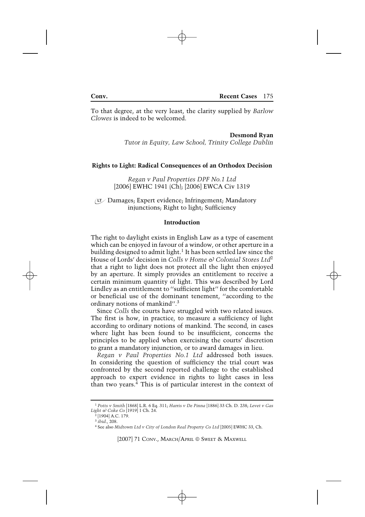To that degree, at the very least, the clarity supplied by *Barlow Clowes* is indeed to be welcomed.

**Desmond Ryan**

*Tutor in Equity, Law School, Trinity College Dublin*

# **Rights to Light: Radical Consequences of an Orthodox Decision**

*Regan v Paul Properties DPF No.1 Ltd* [2006] EWHC 1941 (Ch); [2006] EWCA Civ 1319

Damages; Expert evidence; Infringement; Mandatory injunctions; Right to light; Sufficiency

# **Introduction**

The right to daylight exists in English Law as a type of easement which can be enjoyed in favour of a window, or other aperture in a building designed to admit light.<sup>1</sup> It has been settled law since the House of Lords' decision in *Colls v Home*  $\Theta$  *Colonial Stores Ltd*<sup>2</sup> that a right to light does not protect all the light then enjoyed by an aperture. It simply provides an entitlement to receive a certain minimum quantity of light. This was described by Lord Lindley as an entitlement to ''sufficient light'' for the comfortable or beneficial use of the dominant tenement, ''according to the ordinary notions of mankind''.3

Since *Colls* the courts have struggled with two related issues. The first is how, in practice, to measure a sufficiency of light according to ordinary notions of mankind. The second, in cases where light has been found to be insufficient, concerns the principles to be applied when exercising the courts' discretion to grant a mandatory injunction, or to award damages in lieu.

*Regan v Paul Properties No.1 Ltd* addressed both issues. In considering the question of sufficiency the trial court was confronted by the second reported challenge to the established approach to expert evidence in rights to light cases in less than two years.4 This is of particular interest in the context of

[2007] 71 CONV., MARCH/APRIL © SWEET & MAXWELL

<sup>1</sup> *Potts v Smith* [1868] L.R. 6 Eq. 311; *Harris v De Pinna* [1886] 33 Ch. D. 238; *Levet v Gas Light & Coke Co* [1919] 1 Ch. 24.

 $2$  [1904] A.C. 179.

<sup>3</sup> *ibid*., 208.

<sup>4</sup> See also *Midtown Ltd v City of London Real Property Co Ltd* [2005] EWHC 33, Ch.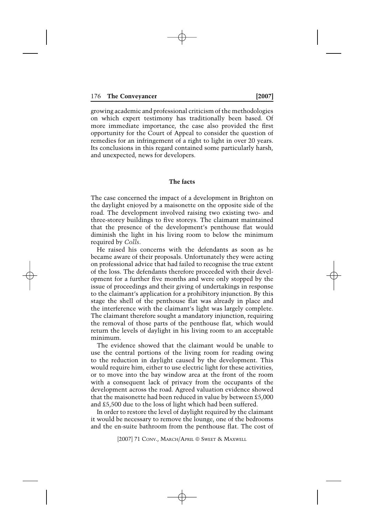growing academic and professional criticism of the methodologies on which expert testimony has traditionally been based. Of more immediate importance, the case also provided the first opportunity for the Court of Appeal to consider the question of remedies for an infringement of a right to light in over 20 years. Its conclusions in this regard contained some particularly harsh, and unexpected, news for developers.

# **The facts**

The case concerned the impact of a development in Brighton on the daylight enjoyed by a maisonette on the opposite side of the road. The development involved raising two existing two- and three-storey buildings to five storeys. The claimant maintained that the presence of the development's penthouse flat would diminish the light in his living room to below the minimum required by *Colls*.

He raised his concerns with the defendants as soon as he became aware of their proposals. Unfortunately they were acting on professional advice that had failed to recognise the true extent of the loss. The defendants therefore proceeded with their development for a further five months and were only stopped by the issue of proceedings and their giving of undertakings in response to the claimant's application for a prohibitory injunction. By this stage the shell of the penthouse flat was already in place and the interference with the claimant's light was largely complete. The claimant therefore sought a mandatory injunction, requiring the removal of those parts of the penthouse flat, which would return the levels of daylight in his living room to an acceptable minimum.

The evidence showed that the claimant would be unable to use the central portions of the living room for reading owing to the reduction in daylight caused by the development. This would require him, either to use electric light for these activities, or to move into the bay window area at the front of the room with a consequent lack of privacy from the occupants of the development across the road. Agreed valuation evidence showed that the maisonette had been reduced in value by between £5,000 and £5,500 due to the loss of light which had been suffered.

In order to restore the level of daylight required by the claimant it would be necessary to remove the lounge, one of the bedrooms and the en-suite bathroom from the penthouse flat. The cost of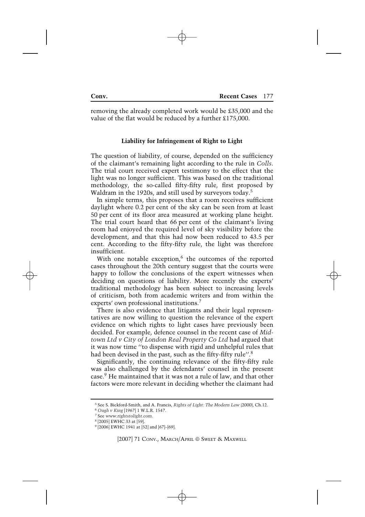removing the already completed work would be £35,000 and the value of the flat would be reduced by a further £175,000.

# **Liability for Infringement of Right to Light**

The question of liability, of course, depended on the sufficiency of the claimant's remaining light according to the rule in *Colls*. The trial court received expert testimony to the effect that the light was no longer sufficient. This was based on the traditional methodology, the so-called fifty-fifty rule, first proposed by Waldram in the 1920s, and still used by surveyors today.<sup>5</sup>

In simple terms, this proposes that a room receives sufficient daylight where 0.2 per cent of the sky can be seen from at least 50 per cent of its floor area measured at working plane height. The trial court heard that 66 per cent of the claimant's living room had enjoyed the required level of sky visibility before the development, and that this had now been reduced to 43.5 per cent. According to the fifty-fifty rule, the light was therefore insufficient.

With one notable exception, $6$  the outcomes of the reported cases throughout the 20th century suggest that the courts were happy to follow the conclusions of the expert witnesses when deciding on questions of liability. More recently the experts' traditional methodology has been subject to increasing levels of criticism, both from academic writers and from within the experts' own professional institutions.7

There is also evidence that litigants and their legal representatives are now willing to question the relevance of the expert evidence on which rights to light cases have previously been decided. For example, defence counsel in the recent case of *Midtown Ltd v City of London Real Property Co Ltd* had argued that it was now time ''to dispense with rigid and unhelpful rules that had been devised in the past, such as the fifty-fifty rule".<sup>8</sup>

Significantly, the continuing relevance of the fifty-fifty rule was also challenged by the defendants' counsel in the present case.9 He maintained that it was not a rule of law, and that other factors were more relevant in deciding whether the claimant had

<sup>5</sup> See S. Bickford-Smith, and A. Francis, *Rights of Light: The Modern Law* (2000), Ch.12.

<sup>6</sup> *Ough v King* [1967] 1 W.L.R. 1547.

<sup>7</sup> See *www.rightstolight.com*.

<sup>8</sup> [2005] EWHC 33 at [59].

<sup>9</sup> [2006] EWHC 1941 at [52] and [67]–[69].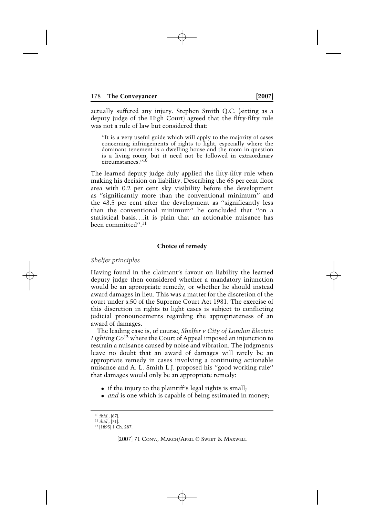actually suffered any injury. Stephen Smith Q.C. (sitting as a deputy judge of the High Court) agreed that the fifty-fifty rule was not a rule of law but considered that:

''It is a very useful guide which will apply to the majority of cases concerning infringements of rights to light, especially where the dominant tenement is a dwelling house and the room in question is a living room, but it need not be followed in extraordinary circumstances.''<sup>10</sup>

The learned deputy judge duly applied the fifty-fifty rule when making his decision on liability. Describing the 66 per cent floor area with 0.2 per cent sky visibility before the development as ''significantly more than the conventional minimum'' and the 43.5 per cent after the development as ''significantly less than the conventional minimum'' he concluded that ''on a statistical basis*...*.it is plain that an actionable nuisance has been committed''.11

# **Choice of remedy**

# *Shelfer principles*

Having found in the claimant's favour on liability the learned deputy judge then considered whether a mandatory injunction would be an appropriate remedy, or whether he should instead award damages in lieu. This was a matter for the discretion of the court under s.50 of the Supreme Court Act 1981. The exercise of this discretion in rights to light cases is subject to conflicting judicial pronouncements regarding the appropriateness of an award of damages.

The leading case is, of course, *Shelfer v City of London Electric Lighting Co*<sup>12</sup> where the Court of Appeal imposed an injunction to restrain a nuisance caused by noise and vibration. The judgments leave no doubt that an award of damages will rarely be an appropriate remedy in cases involving a continuing actionable nuisance and A. L. Smith L.J. proposed his ''good working rule'' that damages would only be an appropriate remedy:

- if the injury to the plaintiff's legal rights is small.
- *and* is one which is capable of being estimated in money;

<sup>10</sup> *ibid.*, [67].

<sup>11</sup> *ibid*., [71].

<sup>12</sup> [1895] 1 Ch. 287.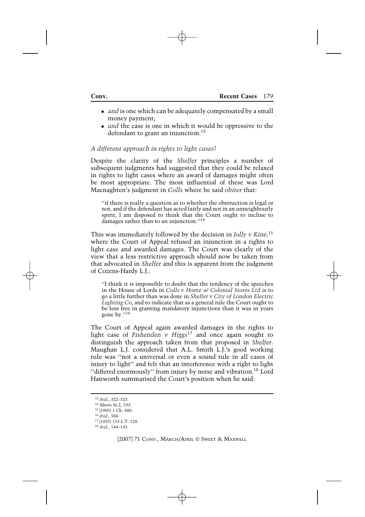- *and* is one which can be adequately compensated by a small money payment;
- *and* the case is one in which it would be oppressive to the defendant to grant an injunction.<sup>13</sup>

# *A different approach in rights to light cases*?

Despite the clarity of the *Shelfer* principles a number of subsequent judgments had suggested that they could be relaxed in rights to light cases where an award of damages might often be most appropriate. The most influential of these was Lord Macnaghten's judgment in *Colls* where he said *obiter* that:

''if there is really a question as to whether the obstruction is legal or not, and if the defendant has acted fairly and not in an unneighbourly spirit, I am disposed to think that the Court ought to incline to damages rather than to an injunction."<sup>14</sup>

This was immediately followed by the decision in *Jolly v Kine,*<sup>15</sup> where the Court of Appeal refused an injunction in a rights to light case and awarded damages. The Court was clearly of the view that a less restrictive approach should now be taken from that advocated in *Shelfer* and this is apparent from the judgment of Cozens-Hardy L.J.:

''I think it is impossible to doubt that the tendency of the speeches in the House of Lords in *Colls v Home & Colonial Stores Ltd* is to go a little further than was done in *Shelfer v City of London Electric Lighting Co*, and to indicate that as a general rule the Court ought to be less free in granting mandatory injunctions than it was in years gone by.''<sup>16</sup>

The Court of Appeal again awarded damages in the rights to light case of *Fishenden v Higgs*<sup>17</sup> and once again sought to distinguish the approach taken from that proposed in *Shelfer*. Maughan L.J. considered that A.L. Smith L.J.'s good working rule was ''not a universal or even a sound rule in all cases of injury to light'' and felt that an interference with a right to light "differed enormously" from injury by noise and vibration.<sup>18</sup> Lord Hanworth summarised the Court's position when he said:

<sup>13</sup> *ibid*., 322–323.

<sup>14</sup> Above fn.2, 193.

<sup>15</sup> [1905] 1 Ch. 480.

<sup>16</sup> *ibid*., 504.

<sup>17</sup> (1935) 153 L.T. 128.

<sup>18</sup> *ibid*., 144–145.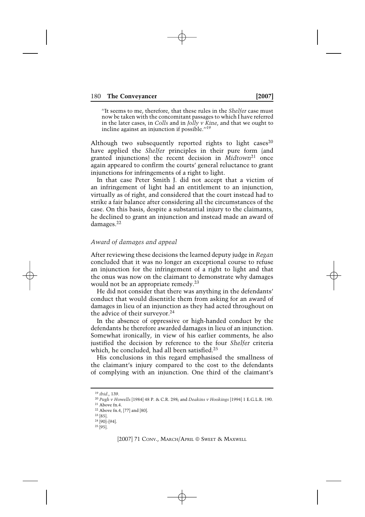''It seems to me, therefore, that these rules in the *Shelfer* case must now be taken with the concomitant passages to which I have referred in the later cases, in *Colls* and in *Jolly v Kine*, and that we ought to incline against an injunction if possible.''19

Although two subsequently reported rights to light cases<sup>20</sup> have applied the *Shelfer* principles in their pure form (and granted injunctions) the recent decision in *Midtown*<sup>21</sup> once again appeared to confirm the courts' general reluctance to grant injunctions for infringements of a right to light.

In that case Peter Smith J. did not accept that a victim of an infringement of light had an entitlement to an injunction, virtually as of right, and considered that the court instead had to strike a fair balance after considering all the circumstances of the case. On this basis, despite a substantial injury to the claimants, he declined to grant an injunction and instead made an award of damages.22

### *Award of damages and appeal*

After reviewing these decisions the learned deputy judge in *Regan* concluded that it was no longer an exceptional course to refuse an injunction for the infringement of a right to light and that the onus was now on the claimant to demonstrate why damages would not be an appropriate remedy.<sup>23</sup>

He did not consider that there was anything in the defendants' conduct that would disentitle them from asking for an award of damages in lieu of an injunction as they had acted throughout on the advice of their surveyor.<sup>24</sup>

In the absence of oppressive or high-handed conduct by the defendants he therefore awarded damages in lieu of an injunction. Somewhat ironically, in view of his earlier comments, he also justified the decision by reference to the four *Shelfer* criteria which, he concluded, had all been satisfied.<sup>25</sup>

His conclusions in this regard emphasised the smallness of the claimant's injury compared to the cost to the defendants of complying with an injunction. One third of the claimant's

[2007] 71 CONV., MARCH/APRIL © SWEET & MAXWELL

<sup>19</sup> *ibid*., 139.

<sup>20</sup> *Pugh v Howells* [1984] 48 P. & C.R. 298; and *Deakins v Hookings* [1994] 1 E.G.L.R. 190.

 $21$  Above fn.4.

<sup>22</sup> Above fn.4, [77] and [80].

 $23$  [85].

 $24$  [90]–[94].  $25$ [95].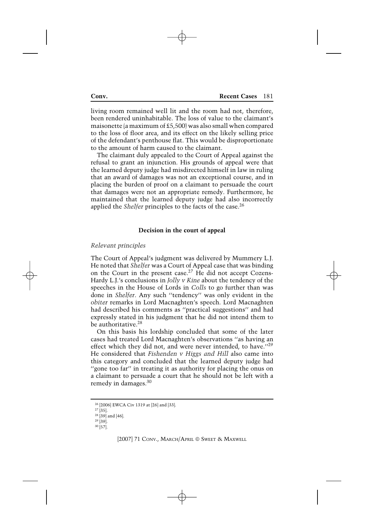living room remained well lit and the room had not, therefore, been rendered uninhabitable. The loss of value to the claimant's maisonette (a maximum of £5,500) was also small when compared to the loss of floor area, and its effect on the likely selling price of the defendant's penthouse flat. This would be disproportionate to the amount of harm caused to the claimant.

The claimant duly appealed to the Court of Appeal against the refusal to grant an injunction. His grounds of appeal were that the learned deputy judge had misdirected himself in law in ruling that an award of damages was not an exceptional course, and in placing the burden of proof on a claimant to persuade the court that damages were not an appropriate remedy. Furthermore, he maintained that the learned deputy judge had also incorrectly applied the *Shelfer* principles to the facts of the case.<sup>26</sup>

# **Decision in the court of appeal**

### *Relevant principles*

The Court of Appeal's judgment was delivered by Mummery L.J. He noted that *Shelfer* was a Court of Appeal case that was binding on the Court in the present case.<sup>27</sup> He did not accept Cozens-Hardy L.J.'s conclusions in *Jolly v Kine* about the tendency of the speeches in the House of Lords in *Colls* to go further than was done in *Shelfer*. Any such ''tendency'' was only evident in the *obiter* remarks in Lord Macnaghten's speech. Lord Macnaghten had described his comments as ''practical suggestions'' and had expressly stated in his judgment that he did not intend them to be authoritative.<sup>28</sup>

On this basis his lordship concluded that some of the later cases had treated Lord Macnaghten's observations ''as having an effect which they did not, and were never intended, to have."<sup>29</sup> He considered that *Fishenden v Higgs and Hill* also came into this category and concluded that the learned deputy judge had ''gone too far'' in treating it as authority for placing the onus on a claimant to persuade a court that he should not be left with a remedy in damages.<sup>30</sup>

<sup>26</sup> [2006] EWCA Civ 1319 at [26] and [33].

 $27$  [35].  $28$  [39] and [46].

 $29$  [39].

 $30$  [57].

<sup>[2007] 71</sup> CONV., MARCH/APRIL © SWEET & MAXWELL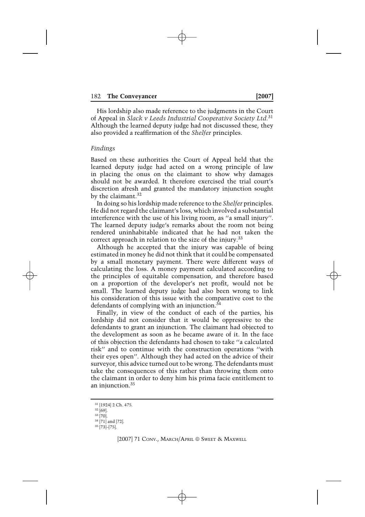His lordship also made reference to the judgments in the Court of Appeal in *Slack v Leeds Industrial Cooperative Society Ltd.*<sup>31</sup> Although the learned deputy judge had not discussed these, they also provided a reaffirmation of the *Shelfer* principles.

# *Findings*

Based on these authorities the Court of Appeal held that the learned deputy judge had acted on a wrong principle of law in placing the onus on the claimant to show why damages should not be awarded. It therefore exercised the trial court's discretion afresh and granted the mandatory injunction sought by the claimant.<sup>32</sup>

In doing so his lordship made reference to the *Shelfer* principles. He did not regard the claimant's loss, which involved a substantial interference with the use of his living room, as ''a small injury''. The learned deputy judge's remarks about the room not being rendered uninhabitable indicated that he had not taken the correct approach in relation to the size of the injury.<sup>33</sup>

Although he accepted that the injury was capable of being estimated in money he did not think that it could be compensated by a small monetary payment. There were different ways of calculating the loss. A money payment calculated according to the principles of equitable compensation, and therefore based on a proportion of the developer's net profit, would not be small. The learned deputy judge had also been wrong to link his consideration of this issue with the comparative cost to the defendants of complying with an injunction.<sup>34</sup>

Finally, in view of the conduct of each of the parties, his lordship did not consider that it would be oppressive to the defendants to grant an injunction. The claimant had objected to the development as soon as he became aware of it. In the face of this objection the defendants had chosen to take ''a calculated risk'' and to continue with the construction operations ''with their eyes open''. Although they had acted on the advice of their surveyor, this advice turned out to be wrong. The defendants must take the consequences of this rather than throwing them onto the claimant in order to deny him his prima facie entitlement to an injunction.<sup>35</sup>

[2007] 71 CONV., MARCH/APRIL © SWEET & MAXWELL

<sup>31</sup> [1924] 2 Ch. 475.

 $32$  [69].

 $33$  [70].

<sup>34</sup> [71] and [72].  $35$ [73]–[75].